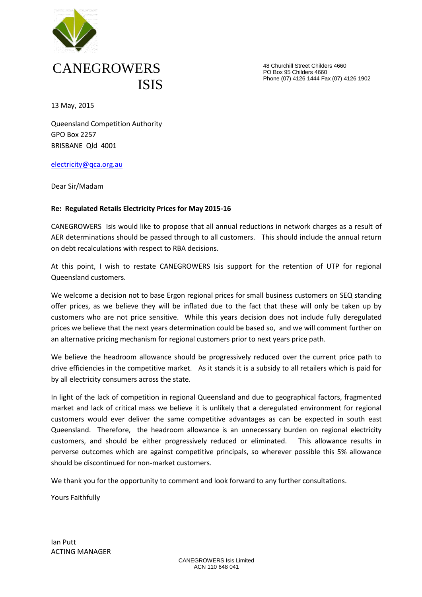

## CANEGROWERS ISIS

48 Churchill Street Childers 4660 PO Box 95 Childers 4660 Phone (07) 4126 1444 Fax (07) 4126 1902

13 May, 2015

Queensland Competition Authority GPO Box 2257 BRISBANE Qld 4001

## [electricity@qca.org.au](mailto:electricity@qca.org.au)

Dear Sir/Madam

## **Re: Regulated Retails Electricity Prices for May 2015-16**

CANEGROWERS Isis would like to propose that all annual reductions in network charges as a result of AER determinations should be passed through to all customers. This should include the annual return on debt recalculations with respect to RBA decisions.

At this point, I wish to restate CANEGROWERS Isis support for the retention of UTP for regional Queensland customers.

We welcome a decision not to base Ergon regional prices for small business customers on SEQ standing offer prices, as we believe they will be inflated due to the fact that these will only be taken up by customers who are not price sensitive. While this years decision does not include fully deregulated prices we believe that the next years determination could be based so, and we will comment further on an alternative pricing mechanism for regional customers prior to next years price path.

We believe the headroom allowance should be progressively reduced over the current price path to drive efficiencies in the competitive market. As it stands it is a subsidy to all retailers which is paid for by all electricity consumers across the state.

In light of the lack of competition in regional Queensland and due to geographical factors, fragmented market and lack of critical mass we believe it is unlikely that a deregulated environment for regional customers would ever deliver the same competitive advantages as can be expected in south east Queensland. Therefore, the headroom allowance is an unnecessary burden on regional electricity customers, and should be either progressively reduced or eliminated. This allowance results in perverse outcomes which are against competitive principals, so wherever possible this 5% allowance should be discontinued for non-market customers.

We thank you for the opportunity to comment and look forward to any further consultations.

Yours Faithfully